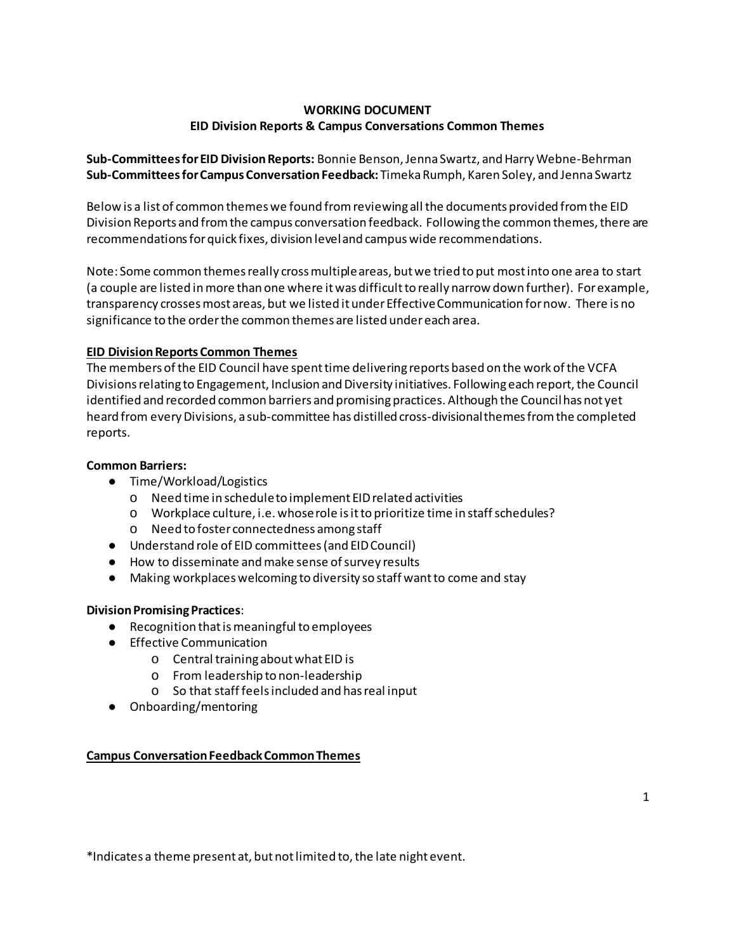# **WORKING DOCUMENT EID Division Reports & Campus Conversations Common Themes**

**Sub-Committees for EID Division Reports:** Bonnie Benson, Jenna Swartz, and Harry Webne-Behrman **Sub-Committees for Campus Conversation Feedback:** Timeka Rumph, Karen Soley, and Jenna Swartz

Below is a list of common themes we found from reviewing all the documents provided from the EID Division Reports and from the campus conversation feedback. Following the common themes, there are recommendations for quick fixes, division level and campus wide recommendations.

Note: Some common themes really cross multiple areas, but we tried to put most into one area to start (a couple are listed in more than one where it was difficult to really narrow down further). For example, transparency crosses most areas, but we listed it under Effective Communication for now. There is no significance to the order the common themes are listed under each area.

#### **EID Division Reports Common Themes**

The members of the EID Council have spent time delivering reports based on the work of the VCFA Divisions relating to Engagement, Inclusion and Diversity initiatives. Following each report, the Council identified and recorded common barriers and promising practices. Although the Council has not yet heard from every Divisions, a sub-committee has distilled cross-divisional themes from the completed reports.

#### **Common Barriers:**

- Time/Workload/Logistics
	- o Need time in schedule to implement EID related activities
	- o Workplace culture, i.e. whose role is it to prioritize time in staff schedules?
	- o Need to foster connectedness among staff
- Understand role of EID committees (and EID Council)
- How to disseminate and make sense of survey results
- Making workplaces welcoming to diversity so staff wantto come and stay

#### **Division Promising Practices**:

- Recognition that is meaningful to employees
- Effective Communication
	- o Central training about what EID is
	- o From leadership to non-leadership
	- o So that staff feels included and has real input
- Onboarding/mentoring

#### **Campus Conversation Feedback Common Themes**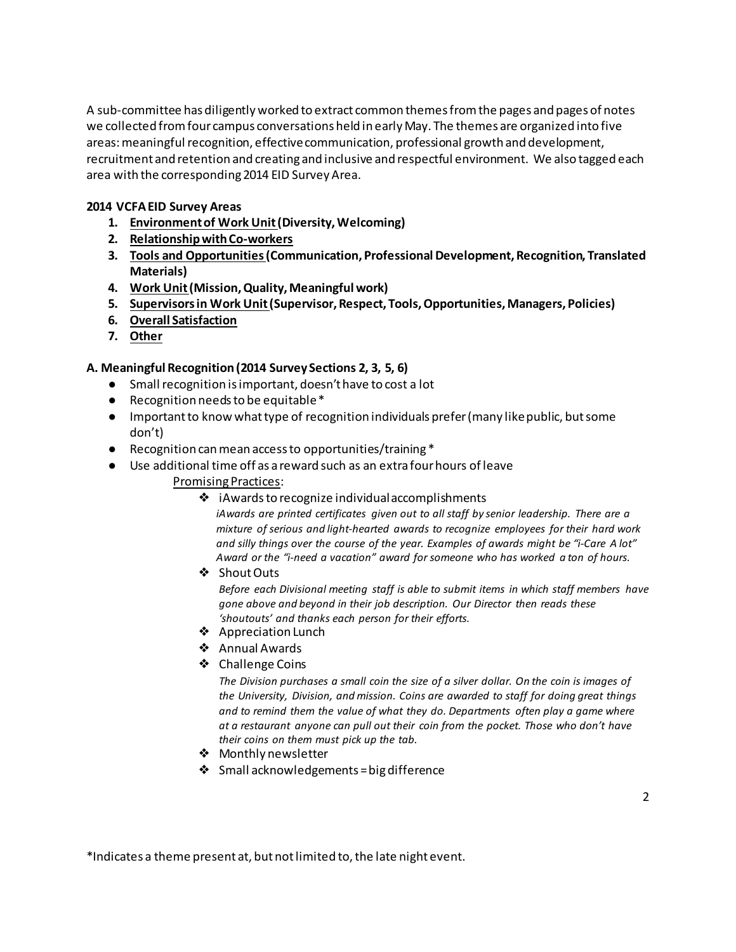A sub-committee has diligently worked to extract common themes from the pages and pages of notes we collected from four campus conversations held in early May. The themes are organized into five areas: meaningful recognition, effective communication, professional growth and development, recruitment and retention and creating and inclusive and respectful environment. We also tagged each area with the corresponding 2014 EID Survey Area.

### **2014 VCFA EID Survey Areas**

- **1. Environment of Work Unit (Diversity, Welcoming)**
- **2. Relationship with Co-workers**
- **3. Tools and Opportunities (Communication, Professional Development, Recognition, Translated Materials)**
- **4. Work Unit (Mission, Quality, Meaningful work)**
- **5. Supervisors in Work Unit (Supervisor, Respect, Tools, Opportunities, Managers, Policies)**
- **6. Overall Satisfaction**
- **7. Other**

## **A. Meaningful Recognition (2014 Survey Sections 2, 3, 5, 6)**

- Small recognition is important, doesn't have to cost a lot
- Recognition needs to be equitable\*
- Important to know what type of recognition individuals prefer (many like public, but some don't)
- Recognition can mean access to opportunities/training \*
- Use additional time off as a reward such as an extra four hours of leave Promising Practices:
	- ❖ iAwards to recognize individual accomplishments

*iAwards are printed certificates given out to all staff by senior leadership. There are a mixture of serious and light-hearted awards to recognize employees for their hard work and silly things over the course of the year. Examples of awards might be "i-Care A lot" Award or the "i-need a vacation" award for someone who has worked a ton of hours.*

❖ Shout Outs

*Before each Divisional meeting staff is able to submit items in which staff members have gone above and beyond in their job description. Our Director then reads these 'shoutouts' and thanks each person for their efforts.*

- ❖ Appreciation Lunch
- ❖ Annual Awards
- ❖ Challenge Coins

*The Division purchases a small coin the size of a silver dollar. On the coin is images of the University, Division, and mission. Coins are awarded to staff for doing great things and to remind them the value of what they do. Departments often play a game where at a restaurant anyone can pull out their coin from the pocket. Those who don't have their coins on them must pick up the tab.*

- ❖ Monthly newsletter
- ❖ Small acknowledgements = big difference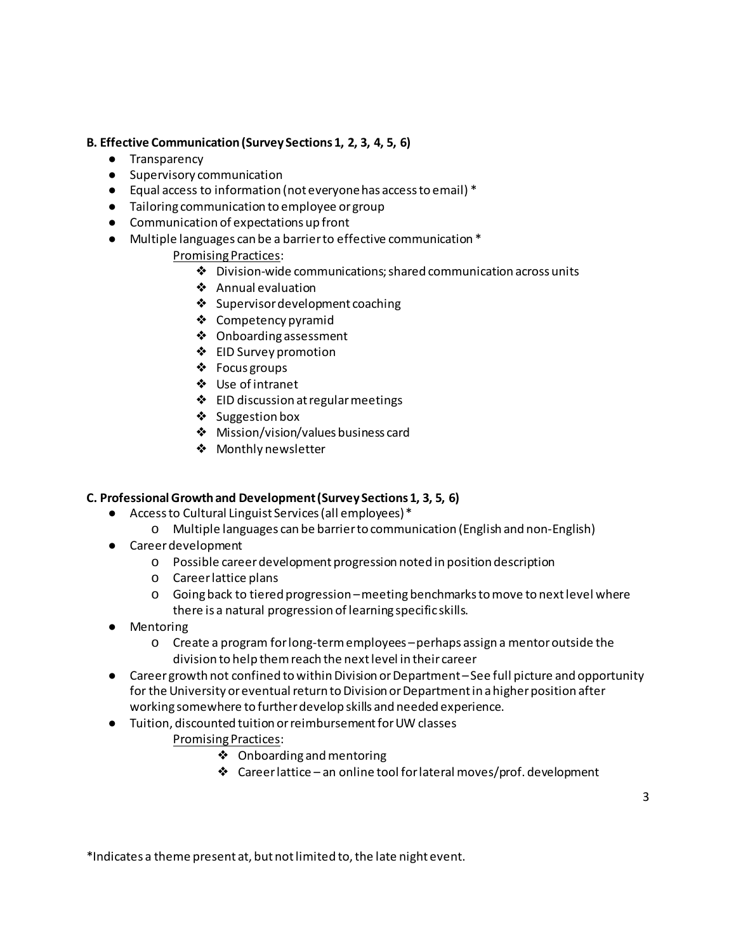## **B. Effective Communication (Survey Sections 1, 2, 3, 4, 5, 6)**

- Transparency
- Supervisory communication
- Equal access to information (not everyone has access to email) \*
- Tailoring communication to employee or group
- Communication of expectations up front
- Multiple languages can be a barrier to effective communication \*

## Promising Practices:

- ❖ Division-wide communications; shared communication across units
- ❖ Annual evaluation
- ❖ Supervisor development coaching
- ❖ Competency pyramid
- ❖ Onboarding assessment
- ❖ EID Survey promotion
- ❖ Focus groups
- ❖ Use of intranet
- ❖ EID discussion at regular meetings
- ❖ Suggestion box
- ❖ Mission/vision/values business card
- ❖ Monthly newsletter

### **C. Professional Growth and Development (Survey Sections 1, 3, 5, 6)**

- Access to Cultural Linguist Services (all employees) \*
	- o Multiple languages can be barrier to communication (English and non-English)
- Career development
	- o Possible career development progression noted in position description
	- o Career lattice plans
	- o Going back to tiered progression –meeting benchmarks to move to next level where there is a natural progression of learning specific skills.
- Mentoring
	- o Create a program for long-term employees –perhaps assign a mentor outside the division to help them reach the next level in their career
- Career growth not confined to within Division or Department See full picture and opportunity for the University or eventual return to Division or Department in a higher position after working somewhere to further develop skills and needed experience.
- Tuition, discounted tuition or reimbursement for UW classes Promising Practices:
	- ❖ Onboarding and mentoring
	- ❖ Career lattice an online tool for lateral moves/prof. development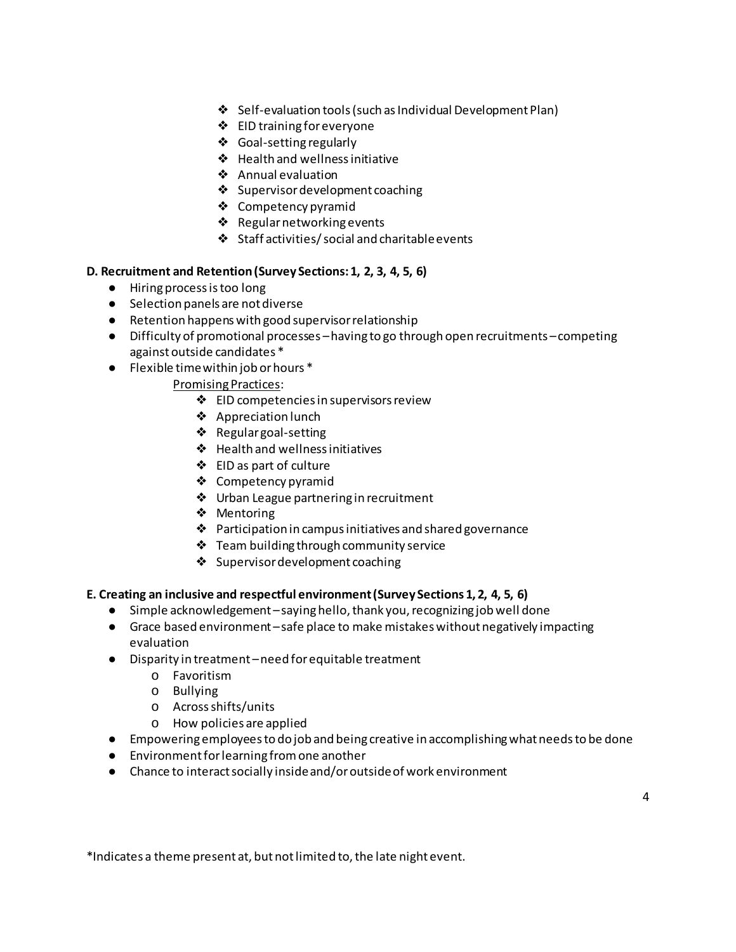- ❖ Self-evaluation tools (such as Individual Development Plan)
- ❖ EID training for everyone
- ❖ Goal-setting regularly
- ❖ Health and wellness initiative
- ❖ Annual evaluation
- ❖ Supervisor development coaching
- ❖ Competency pyramid
- ❖ Regular networking events
- ❖ Staff activities/ social and charitable events

#### **D. Recruitment and Retention (Survey Sections: 1, 2, 3, 4, 5, 6)**

- Hiring process is too long
- Selection panels are not diverse
- Retention happens with good supervisor relationship
- Difficulty of promotional processes –having to go through open recruitments –competing against outside candidates \*
- Flexible time within job or hours \*
	- Promising Practices:
		- ❖ EID competencies in supervisors review
		- ❖ Appreciation lunch
		- ❖ Regular goal-setting
		- ❖ Health and wellness initiatives
		- ❖ EID as part of culture
		- ❖ Competency pyramid
		- ❖ Urban League partnering in recruitment
		- ❖ Mentoring
		- ❖ Participation in campus initiatives and shared governance
		- ❖ Team building through community service
		- ❖ Supervisordevelopment coaching

#### **E. Creating an inclusive and respectful environment (Survey Sections 1, 2, 4, 5, 6)**

- Simple acknowledgement –saying hello, thank you, recognizing job well done
- Grace based environment –safe place to make mistakes without negatively impacting evaluation
- Disparity in treatment –need for equitable treatment
	- o Favoritism
	- o Bullying
	- o Across shifts/units
	- o How policies are applied
- Empowering employees to do job and being creative in accomplishing what needs to be done
- Environment for learning from one another
- Chance to interact socially inside and/or outside of work environment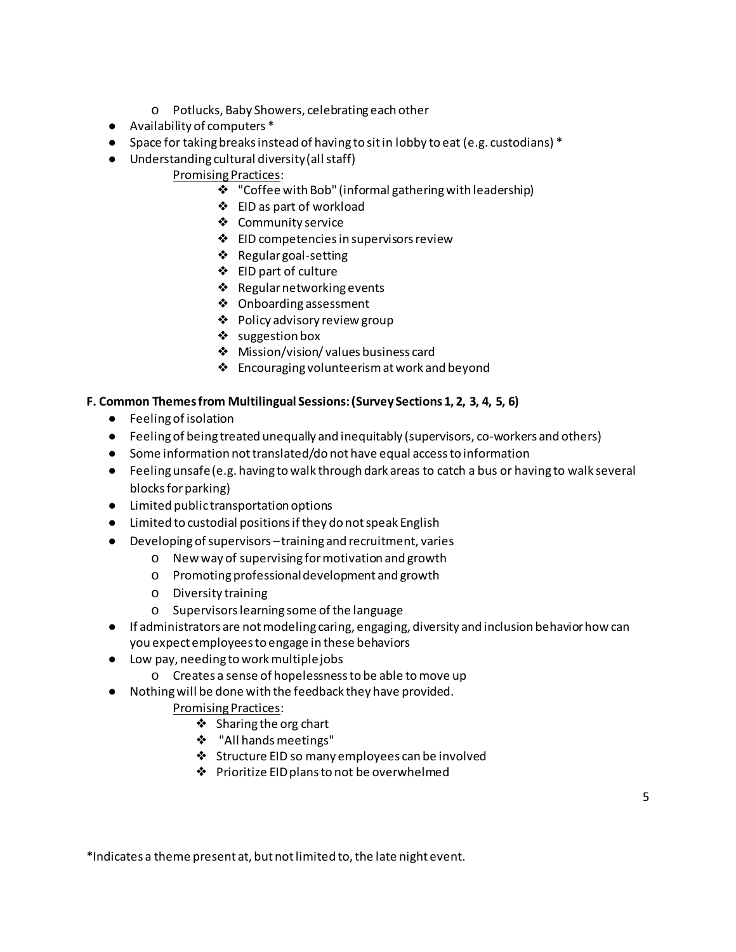- o Potlucks, Baby Showers, celebrating each other
- Availability of computers \*
- Space for taking breaks instead of having to sit in lobby to eat (e.g. custodians) \*
- Understanding cultural diversity (all staff)

# Promising Practices:

- ❖ "Coffee with Bob" (informal gathering with leadership)
- ❖ EID as part of workload
- ❖ Community service
- ❖ EID competencies in supervisors review
- ❖ Regular goal-setting
- ❖ EID part of culture
- ❖ Regular networking events
- ❖ Onboarding assessment
- ❖ Policy advisory review group
- ❖ suggestion box
- ❖ Mission/vision/ values business card
- ❖ Encouraging volunteerism at work and beyond

## **F. Common Themes from Multilingual Sessions: (Survey Sections 1, 2, 3, 4, 5, 6)**

- Feeling of isolation
- Feeling of being treated unequally and inequitably (supervisors, co-workers and others)
- Some information not translated/do not have equal access to information
- Feeling unsafe (e.g. having to walk through dark areas to catch a bus or having to walk several blocks for parking)
- Limited public transportation options
- Limited to custodial positions if they do not speak English
- Developing of supervisors –training and recruitment, varies
	- o New way of supervising for motivation and growth
	- o Promoting professional development and growth
	- o Diversity training
	- o Supervisors learning some of the language
- If administrators are not modeling caring, engaging, diversity and inclusion behavior how can you expect employees to engage in these behaviors
- Low pay, needing to work multiple jobs
	- o Creates a sense of hopelessness to be able to move up
- Nothing will be done with the feedback they have provided.
	- Promising Practices:
		- ❖ Sharing the org chart
		- ❖ "All hands meetings"
		- ❖ Structure EID so many employees can be involved
		- ❖ Prioritize EID plans to not be overwhelmed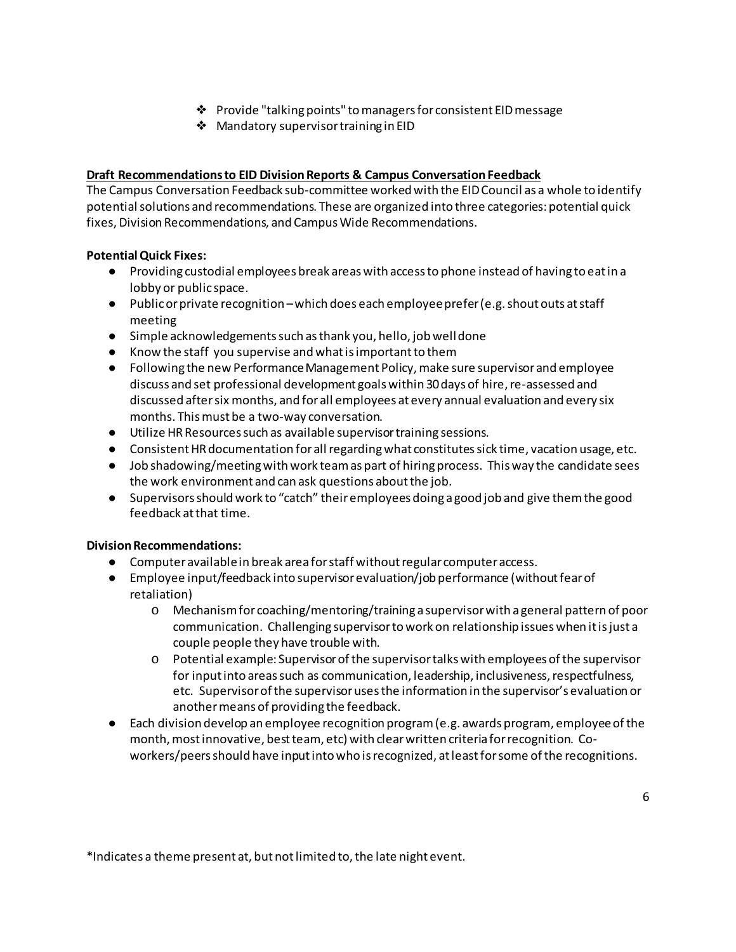- ❖ Provide "talking points" to managers for consistent EID message
- ❖ Mandatory supervisor training in EID

### **Draft Recommendations to EID Division Reports & Campus Conversation Feedback**

The Campus Conversation Feedback sub-committee worked with the EID Council as a whole to identify potential solutions and recommendations. These are organized into three categories: potential quick fixes, Division Recommendations, and Campus Wide Recommendations.

### **Potential Quick Fixes:**

- Providing custodial employees break areas with access to phone instead of having to eat in a lobby or public space.
- Public or private recognition –which does each employee prefer (e.g. shout outs at staff meeting
- Simple acknowledgements such as thank you, hello, job well done
- Know the staff you supervise and what is important to them
- Following the new Performance Management Policy, make sure supervisor and employee discuss and set professional development goals within 30 days of hire, re-assessed and discussed after six months, and for all employees at every annual evaluation and every six months. This must be a two-way conversation.
- Utilize HR Resources such as available supervisor training sessions.
- Consistent HR documentation for all regarding what constitutes sick time, vacation usage, etc.
- Job shadowing/meeting with work team as part of hiring process. This way the candidate sees the work environment and can ask questions about the job.
- Supervisors should work to "catch" their employees doing a good job and give them the good feedback at that time.

### **Division Recommendations:**

- Computer available in break area for staff without regular computer access.
- Employee input/feedback into supervisor evaluation/job performance (without fear of retaliation)
	- o Mechanism for coaching/mentoring/training a supervisor with a general pattern of poor communication. Challenging supervisor to work on relationship issues when it is just a couple people they have trouble with.
	- o Potential example: Supervisor of the supervisor talks with employees of the supervisor for input into areas such as communication, leadership, inclusiveness, respectfulness, etc. Supervisor of the supervisor uses the information in the supervisor's evaluation or another means of providing the feedback.
- Each division develop an employee recognition program (e.g. awards program, employee of the month, most innovative, best team, etc) with clear written criteria for recognition. Coworkers/peers should have input into who is recognized, at least for some of the recognitions.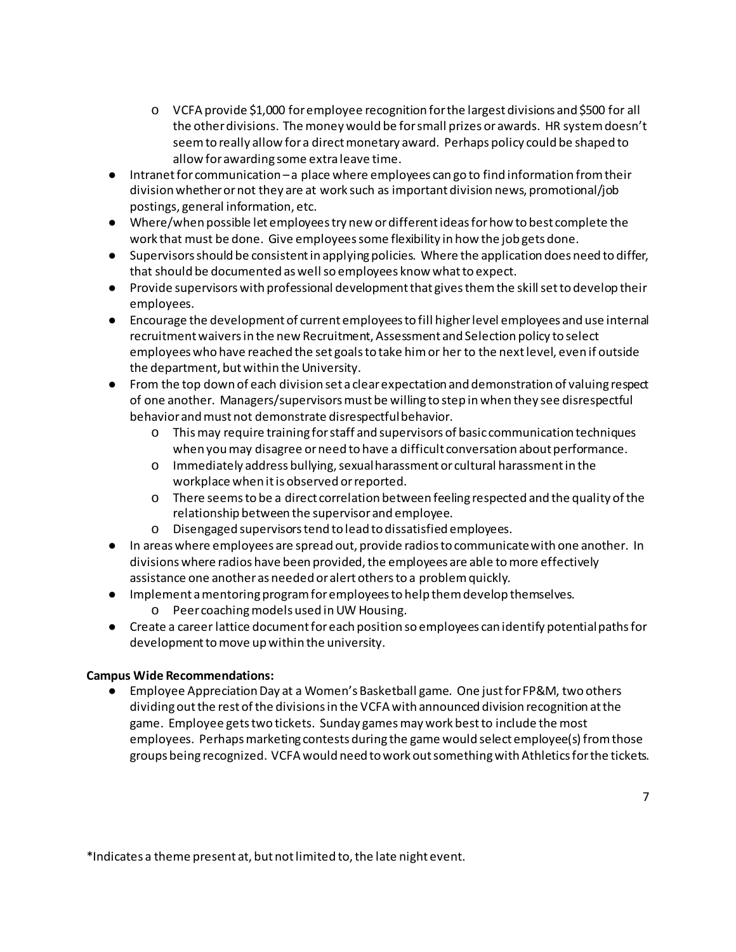- o VCFA provide \$1,000 for employee recognition for the largest divisions and \$500 for all the other divisions. The money would be for small prizes or awards. HR system doesn't seem to really allow for a direct monetary award. Perhaps policy could be shaped to allow for awarding some extra leave time.
- Intranet for communication a place where employees can go to find information from their division whether or not they are at work such as important division news, promotional/job postings, general information, etc.
- Where/when possible let employees try new or different ideas for how to best complete the work that must be done. Give employees some flexibility in how the job gets done.
- Supervisors should be consistent in applying policies. Where the application does need to differ, that should be documented as well so employees know what to expect.
- Provide supervisors with professional development that gives them the skill set to develop their employees.
- Encourage the development of current employees to fill higher level employees and use internal recruitment waivers in the new Recruitment, Assessment and Selection policy to select employees who have reached the set goals to take him or her to the next level, even if outside the department, but within the University.
- From the top down of each division set a clear expectation and demonstration of valuing respect of one another. Managers/supervisors must be willing to step in when they see disrespectful behavior and must not demonstrate disrespectful behavior.
	- o This may require training for staff and supervisors of basic communication techniques when you may disagree or need to have a difficult conversation about performance.
	- o Immediately address bullying, sexual harassment or cultural harassment in the workplace when it is observed or reported.
	- o There seems to be a direct correlation between feeling respected and the quality of the relationship between the supervisor and employee.
	- o Disengaged supervisors tend to lead to dissatisfied employees.
- In areas where employees are spread out, provide radios to communicate with one another. In divisions where radios have been provided, the employees are able to more effectively assistance one another as needed or alert othersto a problem quickly.
- Implement a mentoring program for employees to help them develop themselves. o Peer coachingmodels used in UW Housing.
- Create a career lattice document for each position so employees can identify potential paths for development to move up within the university.

### **Campus Wide Recommendations:**

● Employee Appreciation Day at a Women's Basketball game. One just for FP&M, two others dividing out the rest of the divisions in the VCFA with announced division recognition at the game. Employee gets two tickets. Sunday games may work best to include the most employees. Perhaps marketing contests during the game would select employee(s) from those groups being recognized. VCFA would need to work out something with Athletics for the tickets.